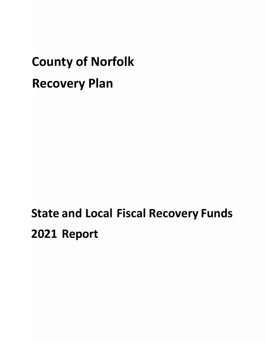# **County of Norfolk Recovery Plan**

## **State and Local Fiscal Recovery Funds 2021 Report**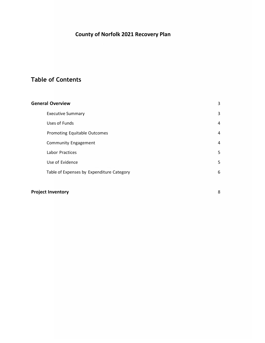## **County of Norfolk 2021 Recovery Plan**

## **Table of Contents**

| <b>General Overview</b>                   |   |
|-------------------------------------------|---|
| <b>Executive Summary</b>                  | 3 |
| Uses of Funds                             | 4 |
| Promoting Equitable Outcomes              | 4 |
| <b>Community Engagement</b>               | 4 |
| Labor Practices                           | 5 |
| Use of Evidence                           | 5 |
| Table of Expenses by Expenditure Category | 6 |
|                                           |   |

## **Project Inventory** 8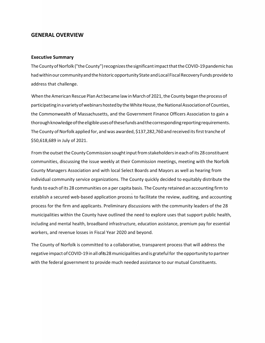#### <span id="page-2-0"></span>**GENERAL OVERVIEW**

#### <span id="page-2-1"></span>**Executive Summary**

The County of Norfolk ("the County") recognizes the significant impact that the COVID-19 pandemic has had within our community and the historic opportunity State and Local Fiscal Recovery Funds provide to address that challenge.

When the American Rescue Plan Act became law in March of 2021, the County began the process of participating in a variety of webinars hosted by the White House, the National Association of Counties, the Commonwealth of Massachusetts, and the Government Finance Officers Association to gain a thoroughknowledgeoftheeligibleusesofthesefundsandthecorrespondingreportingrequirements. The County of Norfolk applied for, and was awarded, \$137,282,760 and received its first tranche of \$50,618,689 in July of 2021.

From the outset the County Commission sought input from stakeholders in each of its 28 constituent communities, discussing the issue weekly at their Commission meetings, meeting with the Norfolk County Managers Association and with local Select Boards and Mayors as well as hearing from individual community service organizations. The County quickly decided to equitably distribute the funds to each of its 28 communities on a per capita basis. The County retained an accounting firm to establish a secured web-based application process to facilitate the review, auditing, and accounting process for the firm and applicants. Preliminary discussions with the community leaders of the 28 municipalities within the County have outlined the need to explore uses that support public health, including and mental health, broadband infrastructure, education assistance, premium pay for essential workers, and revenue losses in Fiscal Year 2020 and beyond.

The County of Norfolk is committed to a collaborative, transparent process that will address the negative impactofCOVID-19 inall ofits 28municipalities andis gratefulfor theopportunity to partner with the federal government to provide much needed assistance to our mutual Constituents.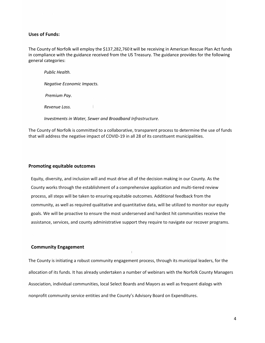#### **Uses of Funds:**

The County of Norfolk will employ the \$137,282,760 it will be receiving in American Rescue Plan Act funds in compliance with the guidance received from the US Treasury. The guidance provides for the following general categories:

*Public Health. Negative Economic Impacts. Premium Pay. Revenue Loss. Investments in Water, Sewer and Broadband Infrastructure.* 

The County of Norfolk is committed to a collaborative, transparent process to determine the use of funds that will address the negative impact of COVID-19 in all 28 of its constituent municipalities.

#### <span id="page-3-0"></span>**Promoting equitable outcomes**

Equity, diversity, and inclusion will and must drive all of the decision making in our County. As the County works through the establishment of a comprehensive application and multi-tiered review process, all steps will be taken to ensuring equitable outcomes. Additional feedback from the community, as well as required qualitative and quantitative data, will be utilized to monitor our equity goals. We will be proactive to ensure the most underserved and hardest hit communities receive the assistance, services, and county administrative support they require to navigate our recover programs.

#### <span id="page-3-1"></span>**Community Engagement**

The County is initiating a robust community engagement process, through its municipal leaders, for the allocation of its funds. It has already undertaken a number of webinars with the Norfolk County Managers Association, individual communities, local Select Boards and Mayors as well as frequent dialogs with nonprofit community service entities and the County's Advisory Board on Expenditures.

l

4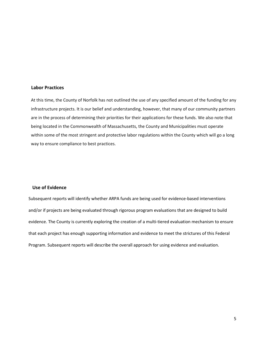#### <span id="page-4-0"></span>**Labor Practices**

At this time, the County of Norfolk has not outlined the use of any specified amount of the funding for any infrastructure projects. It is our belief and understanding, however, that many of our community partners are in the process of determining their priorities for their applications for these funds. We also note that being located in the Commonwealth of Massachusetts, the County and Municipalities must operate within some of the most stringent and protective labor regulations within the County which will go a long way to ensure compliance to best practices.

#### <span id="page-4-1"></span>**Use of Evidence**

Subsequent reports will identify whether ARPA funds are being used for evidence-based interventions and/or if projects are being evaluated through rigorous program evaluations that are designed to build evidence. The County is currently exploring the creation of a multi-tiered evaluation mechanism to ensure that each project has enough supporting information and evidence to meet the strictures of this Federal Program. Subsequent reports will describe the overall approach for using evidence and evaluation.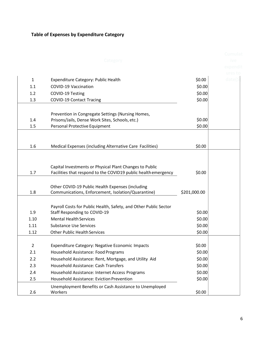## <span id="page-5-0"></span>**Table of Expenses by Expenditure Category**

|              | Category                                                          |              | Cumulat<br>ive.    |
|--------------|-------------------------------------------------------------------|--------------|--------------------|
|              |                                                                   |              | expendit           |
|              |                                                                   |              | ures to<br>date(\$ |
| $\mathbf{1}$ | Expenditure Category: Public Health                               | \$0.00       |                    |
| 1.1          | COVID-19 Vaccination                                              | \$0.00       |                    |
| 1.2          | COVID-19 Testing                                                  | \$0.00       |                    |
| 1.3          | <b>COVID-19 Contact Tracing</b>                                   | \$0.00       |                    |
|              | Prevention in Congregate Settings (Nursing Homes,                 |              |                    |
| 1.4          | Prisons/Jails, Dense Work Sites, Schools, etc.)                   | \$0.00       |                    |
| 1.5          | Personal Protective Equipment                                     | \$0.00       |                    |
|              |                                                                   |              |                    |
| 1.6          | Medical Expenses (including Alternative Care Facilities)          | \$0.00       |                    |
|              | Capital Investments or Physical Plant Changes to Public           |              |                    |
| 1.7          | Facilities that respond to the COVID19 public health emergency    | \$0.00       |                    |
|              | Other COVID-19 Public Health Expenses (including                  |              |                    |
| 1.8          | Communications, Enforcement, Isolation/Quarantine)                | \$201,000.00 |                    |
|              | Payroll Costs for Public Health, Safety, and Other Public Sector  |              |                    |
| 1.9          | Staff Responding to COVID-19                                      | \$0.00       |                    |
| 1.10         | <b>Mental Health Services</b>                                     | \$0.00       |                    |
| 1.11         | <b>Substance Use Services</b>                                     | \$0.00       |                    |
| 1.12         | <b>Other Public Health Services</b>                               | \$0.00       |                    |
| 2            | Expenditure Category: Negative Economic Impacts                   | \$0.00       |                    |
| 2.1          | Household Assistance: Food Programs                               | \$0.00       |                    |
| 2.2          | Household Assistance: Rent, Mortgage, and Utility Aid             | \$0.00       |                    |
| 2.3          | Household Assistance: Cash Transfers                              | \$0.00       |                    |
| 2.4          | Household Assistance: Internet Access Programs                    | \$0.00       |                    |
| 2.5          | <b>Household Assistance: Eviction Prevention</b>                  | \$0.00       |                    |
| 2.6          | Unemployment Benefits or Cash Assistance to Unemployed<br>Workers | \$0.00       |                    |
|              |                                                                   |              |                    |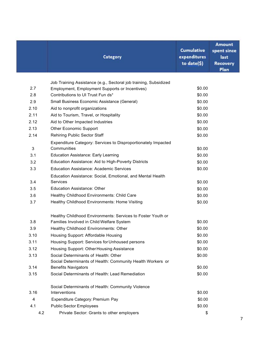|      | Category                                                                                                           | <b>Cumulative</b><br>expenditures<br>to date(\$) | <b>Amount</b><br>spent since<br>last<br><b>Recovery</b><br>Plan |
|------|--------------------------------------------------------------------------------------------------------------------|--------------------------------------------------|-----------------------------------------------------------------|
|      |                                                                                                                    |                                                  |                                                                 |
| 2.7  | Job Training Assistance (e.g., Sectoral job training, Subsidized<br>Employment, Employment Supports or Incentives) | \$0.00                                           |                                                                 |
| 2.8  | Contributions to UI Trust Fun ds*                                                                                  | \$0.00                                           |                                                                 |
| 2.9  | Small Business Economic Assistance (General)                                                                       | \$0.00                                           |                                                                 |
| 2.10 | Aid to nonprofit organizations                                                                                     | \$0.00                                           |                                                                 |
| 2.11 | Aid to Tourism, Travel, or Hospitality                                                                             | \$0.00                                           |                                                                 |
| 2.12 | Aid to Other Impacted Industries                                                                                   | \$0.00                                           |                                                                 |
| 2.13 | <b>Other Economic Support</b>                                                                                      | \$0.00                                           |                                                                 |
| 2.14 | <b>Rehiring Public Sector Staff</b>                                                                                | \$0.00                                           |                                                                 |
|      | Expenditure Category: Services to Disproportionately Impacted                                                      |                                                  |                                                                 |
| 3    | Communities                                                                                                        | \$0.00                                           |                                                                 |
| 3.1  | <b>Education Assistance: Early Learning</b>                                                                        | \$0.00                                           |                                                                 |
| 3.2  | Education Assistance: Aid to High-Poverty Districts                                                                | \$0.00                                           |                                                                 |
| 3.3  | <b>Education Assistance: Academic Services</b>                                                                     | \$0.00                                           |                                                                 |
|      | Education Assistance: Social, Emotional, and Mental Health                                                         |                                                  |                                                                 |
| 3.4  | Services                                                                                                           | \$0.00                                           |                                                                 |
| 3.5  | <b>Education Assistance: Other</b>                                                                                 | \$0.00                                           |                                                                 |
| 3.6  | Healthy Childhood Environments: Child Care                                                                         | \$0.00                                           |                                                                 |
| 3.7  | Healthy Childhood Environments: Home Visiting                                                                      | \$0.00                                           |                                                                 |
|      | Healthy Childhood Environments: Services to Foster Youth or                                                        |                                                  |                                                                 |
| 3.8  | Families Involved in Child Welfare System                                                                          | \$0.00                                           |                                                                 |
| 3.9  | Healthy Childhood Environments: Other                                                                              | \$0.00                                           |                                                                 |
| 3.10 | Housing Support: Affordable Housing                                                                                | \$0.00                                           |                                                                 |
| 3.11 | Housing Support: Services for Unhoused persons                                                                     | \$0.00                                           |                                                                 |
| 3.12 | Housing Support: Other Housing Assistance                                                                          | \$0.00                                           |                                                                 |
| 3.13 | Social Determinants of Health: Other                                                                               | \$0.00                                           |                                                                 |
|      | Social Determinants of Health: Community Health Workers or                                                         |                                                  |                                                                 |
| 3.14 | <b>Benefits Navigators</b>                                                                                         | \$0.00                                           |                                                                 |
| 3.15 | Social Determinants of Health: Lead Remediation                                                                    | \$0.00                                           |                                                                 |
|      | Social Determinants of Health: Community Violence                                                                  |                                                  |                                                                 |
| 3.16 | Interventions                                                                                                      | \$0.00                                           |                                                                 |
| 4    | Expenditure Category: Premium Pay                                                                                  | \$0.00                                           |                                                                 |
| 4.1  | <b>Public Sector Employees</b>                                                                                     | \$0.00                                           |                                                                 |
| 4.2  | Private Sector: Grants to other employers                                                                          | \$                                               |                                                                 |